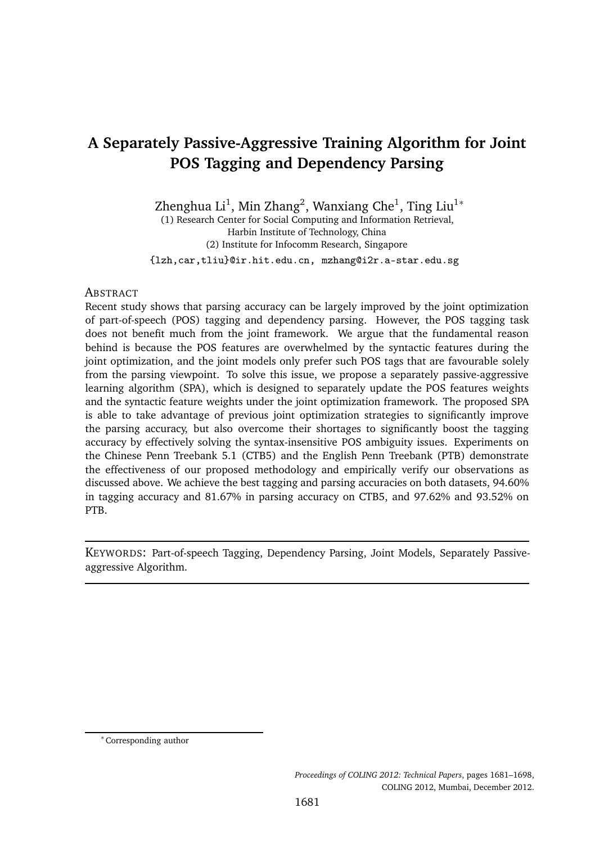# **A Separately Passive-Aggressive Training Algorithm for Joint POS Tagging and Dependency Parsing**

Zhenghua Li $^1$ , Min Zhang $^2$ , Wanxiang Che $^1$ , Ting Liu $^{1\ast}$ (1) Research Center for Social Computing and Information Retrieval, Harbin Institute of Technology, China (2) Institute for Infocomm Research, Singapore

{lzh,car,tliu}@ir.hit.edu.cn, mzhang@i2r.a-star.edu.sg

#### **ABSTRACT**

Recent study shows that parsing accuracy can be largely improved by the joint optimization of part-of-speech (POS) tagging and dependency parsing. However, the POS tagging task does not benefit much from the joint framework. We argue that the fundamental reason behind is because the POS features are overwhelmed by the syntactic features during the joint optimization, and the joint models only prefer such POS tags that are favourable solely from the parsing viewpoint. To solve this issue, we propose a separately passive-aggressive learning algorithm (SPA), which is designed to separately update the POS features weights and the syntactic feature weights under the joint optimization framework. The proposed SPA is able to take advantage of previous joint optimization strategies to significantly improve the parsing accuracy, but also overcome their shortages to significantly boost the tagging accuracy by effectively solving the syntax-insensitive POS ambiguity issues. Experiments on the Chinese Penn Treebank 5.1 (CTB5) and the English Penn Treebank (PTB) demonstrate the effectiveness of our proposed methodology and empirically verify our observations as discussed above. We achieve the best tagging and parsing accuracies on both datasets, 94.60% in tagging accuracy and 81.67% in parsing accuracy on CTB5, and 97.62% and 93.52% on PTB.

KEYWORDS: Part-of-speech Tagging, Dependency Parsing, Joint Models, Separately Passiveaggressive Algorithm.

<sup>∗</sup> Corresponding author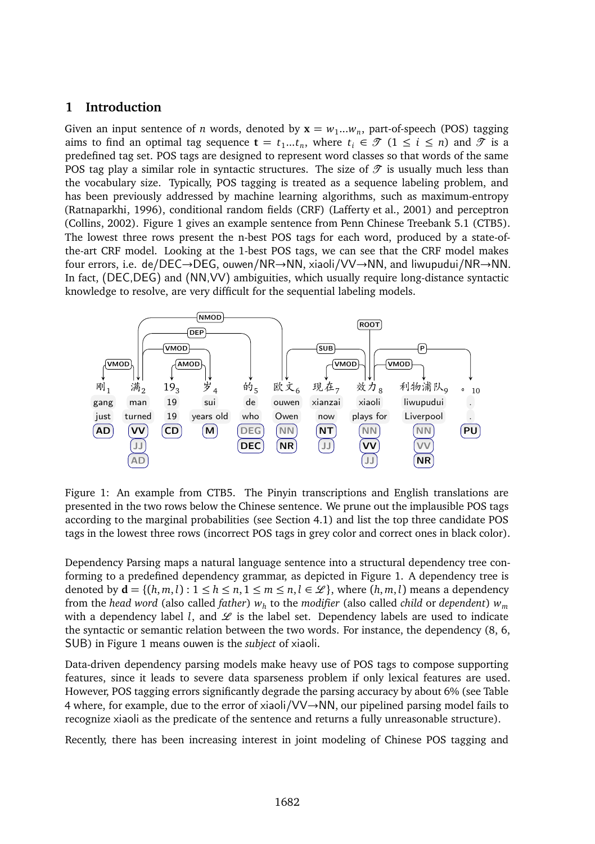### **1 Introduction**

Given an input sentence of *n* words, denoted by  $\mathbf{x} = w_1...w_n$ , part-of-speech (POS) tagging aims to find an optimal tag sequence  $\mathbf{t} = t_1...t_n$ , where  $t_i \in \mathcal{T}$  ( $1 \le i \le n$ ) and  $\mathcal{T}$  is a predefined tag set. POS tags are designed to represent word classes so that words of the same POS tag play a similar role in syntactic structures. The size of  $\mathcal T$  is usually much less than the vocabulary size. Typically, POS tagging is treated as a sequence labeling problem, and has been previously addressed by machine learning algorithms, such as maximum-entropy (Ratnaparkhi, 1996), conditional random fields (CRF) (Lafferty et al., 2001) and perceptron (Collins, 2002). Figure 1 gives an example sentence from Penn Chinese Treebank 5.1 (CTB5). The lowest three rows present the n-best POS tags for each word, produced by a state-ofthe-art CRF model. Looking at the 1-best POS tags, we can see that the CRF model makes four errors, i.e. de/DEC→DEG, ouwen/NR→NN, xiaoli/VV→NN, and liwupudui/NR→NN. In fact, (DEC,DEG) and (NN,VV) ambiguities, which usually require long-distance syntactic knowledge to resolve, are very difficult for the sequential labeling models.



Figure 1: An example from CTB5. The Pinyin transcriptions and English translations are presented in the two rows below the Chinese sentence. We prune out the implausible POS tags according to the marginal probabilities (see Section 4.1) and list the top three candidate POS tags in the lowest three rows (incorrect POS tags in grey color and correct ones in black color).

Dependency Parsing maps a natural language sentence into a structural dependency tree conforming to a predefined dependency grammar, as depicted in Figure 1. A dependency tree is denoted by  $\mathbf{d} = \{(h, m, l) : 1 \leq h \leq n, 1 \leq m \leq n, l \in \mathcal{L}\}\)$ , where  $(h, m, l)$  means a dependency from the *head word* (also called *father*) *w<sup>h</sup>* to the *modifier* (also called *child* or *dependent*) *w<sup>m</sup>* with a dependency label *l*, and  $\mathscr L$  is the label set. Dependency labels are used to indicate the syntactic or semantic relation between the two words. For instance, the dependency (8, 6, SUB) in Figure 1 means ouwen is the *subject* of xiaoli.

Data-driven dependency parsing models make heavy use of POS tags to compose supporting features, since it leads to severe data sparseness problem if only lexical features are used. However, POS tagging errors significantly degrade the parsing accuracy by about 6% (see Table 4 where, for example, due to the error of xiaoli/VV→NN, our pipelined parsing model fails to recognize xiaoli as the predicate of the sentence and returns a fully unreasonable structure).

Recently, there has been increasing interest in joint modeling of Chinese POS tagging and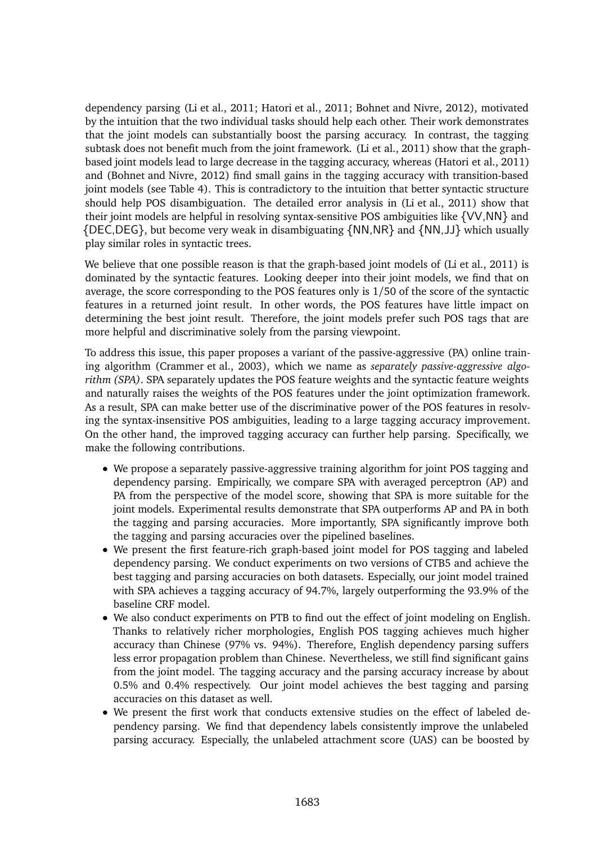dependency parsing (Li et al., 2011; Hatori et al., 2011; Bohnet and Nivre, 2012), motivated by the intuition that the two individual tasks should help each other. Their work demonstrates that the joint models can substantially boost the parsing accuracy. In contrast, the tagging subtask does not benefit much from the joint framework. (Li et al., 2011) show that the graphbased joint models lead to large decrease in the tagging accuracy, whereas (Hatori et al., 2011) and (Bohnet and Nivre, 2012) find small gains in the tagging accuracy with transition-based joint models (see Table 4). This is contradictory to the intuition that better syntactic structure should help POS disambiguation. The detailed error analysis in (Li et al., 2011) show that their joint models are helpful in resolving syntax-sensitive POS ambiguities like {VV,NN} and {DEC,DEG}, but become very weak in disambiguating {NN,NR} and {NN,JJ} which usually play similar roles in syntactic trees.

We believe that one possible reason is that the graph-based joint models of (Li et al., 2011) is dominated by the syntactic features. Looking deeper into their joint models, we find that on average, the score corresponding to the POS features only is 1/50 of the score of the syntactic features in a returned joint result. In other words, the POS features have little impact on determining the best joint result. Therefore, the joint models prefer such POS tags that are more helpful and discriminative solely from the parsing viewpoint.

To address this issue, this paper proposes a variant of the passive-aggressive (PA) online training algorithm (Crammer et al., 2003), which we name as *separately passive-aggressive algorithm (SPA)*. SPA separately updates the POS feature weights and the syntactic feature weights and naturally raises the weights of the POS features under the joint optimization framework. As a result, SPA can make better use of the discriminative power of the POS features in resolving the syntax-insensitive POS ambiguities, leading to a large tagging accuracy improvement. On the other hand, the improved tagging accuracy can further help parsing. Specifically, we make the following contributions.

- We propose a separately passive-aggressive training algorithm for joint POS tagging and dependency parsing. Empirically, we compare SPA with averaged perceptron (AP) and PA from the perspective of the model score, showing that SPA is more suitable for the joint models. Experimental results demonstrate that SPA outperforms AP and PA in both the tagging and parsing accuracies. More importantly, SPA significantly improve both the tagging and parsing accuracies over the pipelined baselines.
- We present the first feature-rich graph-based joint model for POS tagging and labeled dependency parsing. We conduct experiments on two versions of CTB5 and achieve the best tagging and parsing accuracies on both datasets. Especially, our joint model trained with SPA achieves a tagging accuracy of 94.7%, largely outperforming the 93.9% of the baseline CRF model.
- We also conduct experiments on PTB to find out the effect of joint modeling on English. Thanks to relatively richer morphologies, English POS tagging achieves much higher accuracy than Chinese (97% vs. 94%). Therefore, English dependency parsing suffers less error propagation problem than Chinese. Nevertheless, we still find significant gains from the joint model. The tagging accuracy and the parsing accuracy increase by about 0.5% and 0.4% respectively. Our joint model achieves the best tagging and parsing accuracies on this dataset as well.
- We present the first work that conducts extensive studies on the effect of labeled dependency parsing. We find that dependency labels consistently improve the unlabeled parsing accuracy. Especially, the unlabeled attachment score (UAS) can be boosted by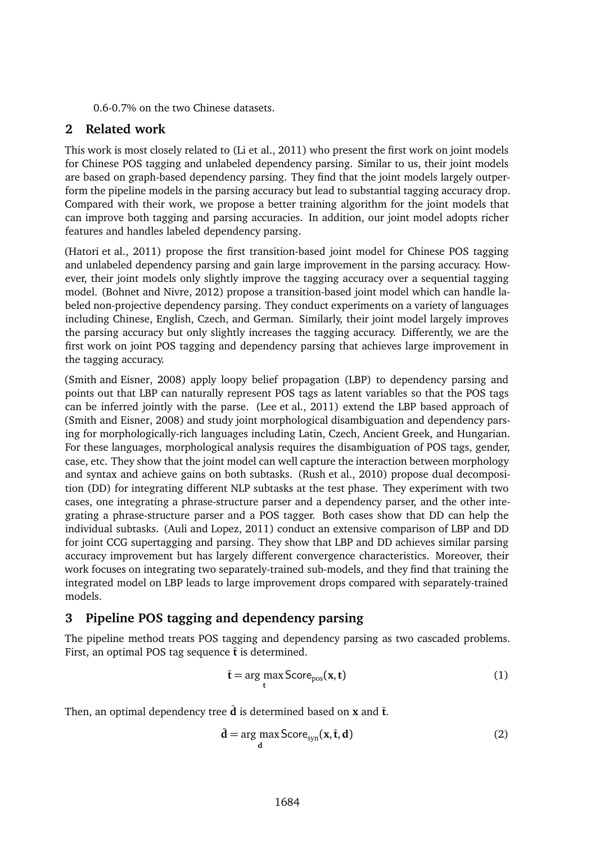0.6-0.7% on the two Chinese datasets.

### **2 Related work**

This work is most closely related to (Li et al., 2011) who present the first work on joint models for Chinese POS tagging and unlabeled dependency parsing. Similar to us, their joint models are based on graph-based dependency parsing. They find that the joint models largely outperform the pipeline models in the parsing accuracy but lead to substantial tagging accuracy drop. Compared with their work, we propose a better training algorithm for the joint models that can improve both tagging and parsing accuracies. In addition, our joint model adopts richer features and handles labeled dependency parsing.

(Hatori et al., 2011) propose the first transition-based joint model for Chinese POS tagging and unlabeled dependency parsing and gain large improvement in the parsing accuracy. However, their joint models only slightly improve the tagging accuracy over a sequential tagging model. (Bohnet and Nivre, 2012) propose a transition-based joint model which can handle labeled non-projective dependency parsing. They conduct experiments on a variety of languages including Chinese, English, Czech, and German. Similarly, their joint model largely improves the parsing accuracy but only slightly increases the tagging accuracy. Differently, we are the first work on joint POS tagging and dependency parsing that achieves large improvement in the tagging accuracy.

(Smith and Eisner, 2008) apply loopy belief propagation (LBP) to dependency parsing and points out that LBP can naturally represent POS tags as latent variables so that the POS tags can be inferred jointly with the parse. (Lee et al., 2011) extend the LBP based approach of (Smith and Eisner, 2008) and study joint morphological disambiguation and dependency parsing for morphologically-rich languages including Latin, Czech, Ancient Greek, and Hungarian. For these languages, morphological analysis requires the disambiguation of POS tags, gender, case, etc. They show that the joint model can well capture the interaction between morphology and syntax and achieve gains on both subtasks. (Rush et al., 2010) propose dual decomposition (DD) for integrating different NLP subtasks at the test phase. They experiment with two cases, one integrating a phrase-structure parser and a dependency parser, and the other integrating a phrase-structure parser and a POS tagger. Both cases show that DD can help the individual subtasks. (Auli and Lopez, 2011) conduct an extensive comparison of LBP and DD for joint CCG supertagging and parsing. They show that LBP and DD achieves similar parsing accuracy improvement but has largely different convergence characteristics. Moreover, their work focuses on integrating two separately-trained sub-models, and they find that training the integrated model on LBP leads to large improvement drops compared with separately-trained models.

# **3 Pipeline POS tagging and dependency parsing**

The pipeline method treats POS tagging and dependency parsing as two cascaded problems. First, an optimal POS tag sequence  $\hat{\mathbf{t}}$  is determined.

$$
\hat{\mathbf{t}} = \underset{\mathbf{t}}{\arg\max} \, \text{Score}_{\text{pos}}(\mathbf{x}, \mathbf{t}) \tag{1}
$$

Then, an optimal dependency tree  $\hat{d}$  is determined based on **x** and  $\hat{t}$ .

$$
\hat{\mathbf{d}} = \underset{\mathbf{d}}{\arg\max} \, \text{Score}_{syn}(\mathbf{x}, \hat{\mathbf{t}}, \mathbf{d}) \tag{2}
$$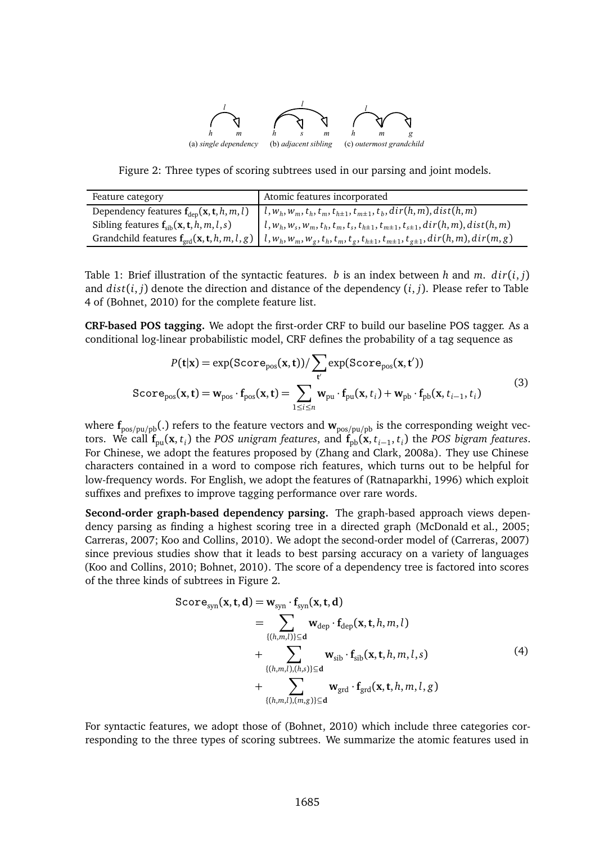

Figure 2: Three types of scoring subtrees used in our parsing and joint models.

| Feature category                                | Atomic features incorporated                                                                                                                               |
|-------------------------------------------------|------------------------------------------------------------------------------------------------------------------------------------------------------------|
| Dependency features $f_{den}(x, t, h, m, l)$    | $\left[ l, w_h, w_m, t_h, t_m, t_{h+1}, t_{m+1}, t_b, dir(h, m), dist(h, m) \right]$                                                                       |
| Sibling features $f_{\rm sh}(x, t, h, m, l, s)$ | $\{l, w_h, w_s, w_m, t_h, t_m, t_s, t_{h\pm 1}, t_{m\pm 1}, t_{s\pm 1}, dir(h, m), dist(h, m)\}$                                                           |
|                                                 | Grandchild features $f_{\text{grd}}(x, t, h, m, l, g) \mid l, w_h, w_m, w_g, t_h, t_m, t_g, t_{h+1}, t_{m+1}, t_{g+1}, \text{dir}(h, m), \text{dir}(m, g)$ |

Table 1: Brief illustration of the syntactic features. *b* is an index between *h* and *m*.  $dir(i, j)$ and  $dist(i, j)$  denote the direction and distance of the dependency  $(i, j)$ . Please refer to Table 4 of (Bohnet, 2010) for the complete feature list.

**CRF-based POS tagging.** We adopt the first-order CRF to build our baseline POS tagger. As a conditional log-linear probabilistic model, CRF defines the probability of a tag sequence as

$$
P(\mathbf{t}|\mathbf{x}) = \exp(\text{Score}_{\text{pos}}(\mathbf{x}, \mathbf{t})) / \sum_{\mathbf{t}'} \exp(\text{Score}_{\text{pos}}(\mathbf{x}, \mathbf{t}'))
$$
  
\n
$$
\text{Score}_{\text{pos}}(\mathbf{x}, \mathbf{t}) = \mathbf{w}_{\text{pos}} \cdot \mathbf{f}_{\text{pos}}(\mathbf{x}, \mathbf{t}) = \sum_{1 \le i \le n} \mathbf{w}_{\text{pu}} \cdot \mathbf{f}_{\text{pu}}(\mathbf{x}, t_i) + \mathbf{w}_{\text{pb}} \cdot \mathbf{f}_{\text{pb}}(\mathbf{x}, t_{i-1}, t_i)
$$
(3)

where  $f_{pos/pu/bb}(.)$  refers to the feature vectors and  $w_{pos/pu/bb}$  is the corresponding weight vectors. We call  $f_{pu}(\mathbf{x}, t_i)$  the *POS unigram features*, and  $f_{pb}(\mathbf{x}, t_{i-1}, t_i)$  the *POS bigram features*. For Chinese, we adopt the features proposed by (Zhang and Clark, 2008a). They use Chinese characters contained in a word to compose rich features, which turns out to be helpful for low-frequency words. For English, we adopt the features of (Ratnaparkhi, 1996) which exploit suffixes and prefixes to improve tagging performance over rare words.

**Second-order graph-based dependency parsing.** The graph-based approach views dependency parsing as finding a highest scoring tree in a directed graph (McDonald et al., 2005; Carreras, 2007; Koo and Collins, 2010). We adopt the second-order model of (Carreras, 2007) since previous studies show that it leads to best parsing accuracy on a variety of languages (Koo and Collins, 2010; Bohnet, 2010). The score of a dependency tree is factored into scores of the three kinds of subtrees in Figure 2.

$$
\begin{align}\n\text{Score}_{syn}(\mathbf{x}, \mathbf{t}, \mathbf{d}) &= \sum_{\{(h, m, l)\} \subseteq \mathbf{d}} \mathbf{w}_{\text{dep}} \cdot \mathbf{f}_{\text{dep}}(\mathbf{x}, \mathbf{t}, h, m, l) \\
&= \sum_{\{(h, m, l), (h, s)\} \subseteq \mathbf{d}} \mathbf{w}_{\text{slb}} \cdot \mathbf{f}_{\text{sib}}(\mathbf{x}, \mathbf{t}, h, m, l, s) \\
&\quad + \sum_{\{(h, m, l), (h, s)\} \subseteq \mathbf{d}} \mathbf{w}_{\text{grd}} \cdot \mathbf{f}_{\text{grd}}(\mathbf{x}, \mathbf{t}, h, m, l, g) \\
&\quad + \sum_{\{(h, m, l), (m, g)\} \subseteq \mathbf{d}} \mathbf{w}_{\text{grd}} \cdot \mathbf{f}_{\text{grd}}(\mathbf{x}, \mathbf{t}, h, m, l, g)\n\end{align}
$$

For syntactic features, we adopt those of (Bohnet, 2010) which include three categories corresponding to the three types of scoring subtrees. We summarize the atomic features used in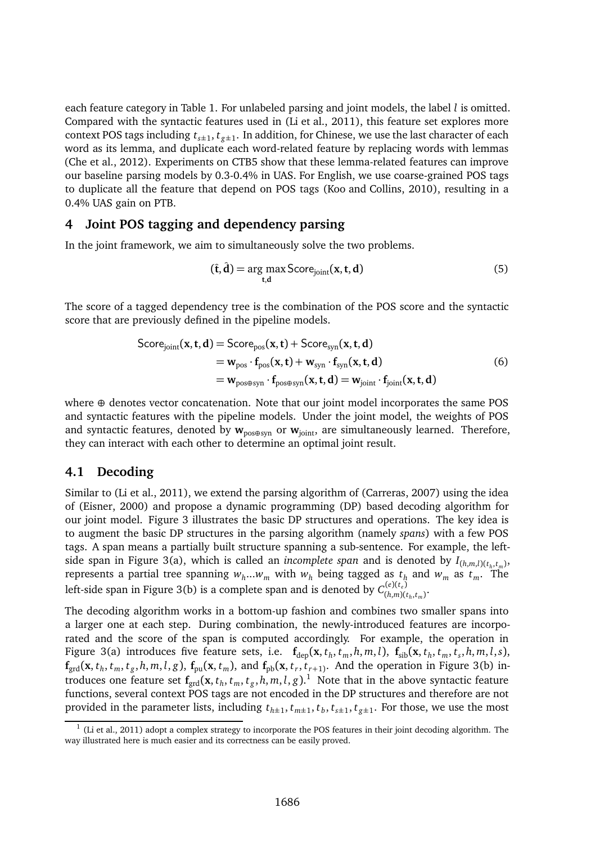each feature category in Table 1. For unlabeled parsing and joint models, the label *l* is omitted. Compared with the syntactic features used in (Li et al., 2011), this feature set explores more context POS tags including  $t_{s\pm 1}$ ,  $t_{g\pm 1}$ . In addition, for Chinese, we use the last character of each word as its lemma, and duplicate each word-related feature by replacing words with lemmas (Che et al., 2012). Experiments on CTB5 show that these lemma-related features can improve our baseline parsing models by 0.3-0.4% in UAS. For English, we use coarse-grained POS tags to duplicate all the feature that depend on POS tags (Koo and Collins, 2010), resulting in a 0.4% UAS gain on PTB.

#### **4 Joint POS tagging and dependency parsing**

In the joint framework, we aim to simultaneously solve the two problems.

$$
(\hat{\mathbf{t}}, \hat{\mathbf{d}}) = \underset{\mathbf{t}, \mathbf{d}}{\arg \max} \text{Score}_{\text{joint}}(\mathbf{x}, \mathbf{t}, \mathbf{d})
$$
(5)

The score of a tagged dependency tree is the combination of the POS score and the syntactic score that are previously defined in the pipeline models.

$$
Scorejoint(x, t, d) = Scorepos(x, t) + Scoresyn(x, t, d)
$$
  
= 
$$
wpos \cdot fpos(x, t) + wsyn \cdot fsyn(x, t, d)
$$
  
= 
$$
wpos \cdot spos(x, t) + wsyn(x, t, d) = wjoint \cdot fjoint(x, t, d)
$$
 (6)

where ⊕ denotes vector concatenation. Note that our joint model incorporates the same POS and syntactic features with the pipeline models. Under the joint model, the weights of POS and syntactic features, denoted by **<sup>w</sup>**pos⊕syn or **<sup>w</sup>**joint, are simultaneously learned. Therefore, they can interact with each other to determine an optimal joint result.

#### **4.1 Decoding**

Similar to (Li et al., 2011), we extend the parsing algorithm of (Carreras, 2007) using the idea of (Eisner, 2000) and propose a dynamic programming (DP) based decoding algorithm for our joint model. Figure 3 illustrates the basic DP structures and operations. The key idea is to augment the basic DP structures in the parsing algorithm (namely *spans*) with a few POS tags. A span means a partially built structure spanning a sub-sentence. For example, the leftside span in Figure 3(a), which is called an *incomplete span* and is denoted by  $I_{(h,m,l)(t_h,t_m)}$ , represents a partial tree spanning  $w_h...w_m$  with  $w_h$  being tagged as  $t_h$  and  $w_m$  as  $t_m$ . The left-side span in Figure 3(b) is a complete span and is denoted by  $C_{(h,m)(t_h,t_m)}^{(e)(t_e)}$ .

The decoding algorithm works in a bottom-up fashion and combines two smaller spans into a larger one at each step. During combination, the newly-introduced features are incorporated and the score of the span is computed accordingly. For example, the operation in Figure 3(a) introduces five feature sets, i.e.  $\mathbf{f}_{\text{dep}}(\mathbf{x}, t_h, t_m, h, m, l)$ ,  $\mathbf{f}_{\text{sil}}(\mathbf{x}, t_h, t_m, t_s, h, m, l, s)$ ,  $f_{\text{grd}}(\mathbf{x}, t_h, t_m, t_g, h, m, l, g)$ ,  $f_{\text{pu}}(\mathbf{x}, t_m)$ , and  $f_{\text{pb}}(\mathbf{x}, t_r, t_{r+1})$ . And the operation in Figure 3(b) introduces one feature set  $f_{\text{grd}}(\mathbf{x}, t_h, t_m, t_g, h, m, l, g)$ .<sup>1</sup> Note that in the above syntactic feature functions, several context POS tags are not encoded in the DP structures and therefore are not provided in the parameter lists, including  $t_{h\pm 1}$ ,  $t_{m\pm 1}$ ,  $t_b$ ,  $t_{s\pm 1}$ ,  $t_{g\pm 1}$ . For those, we use the most

 $<sup>1</sup>$  (Li et al., 2011) adopt a complex strategy to incorporate the POS features in their joint decoding algorithm. The</sup> way illustrated here is much easier and its correctness can be easily proved.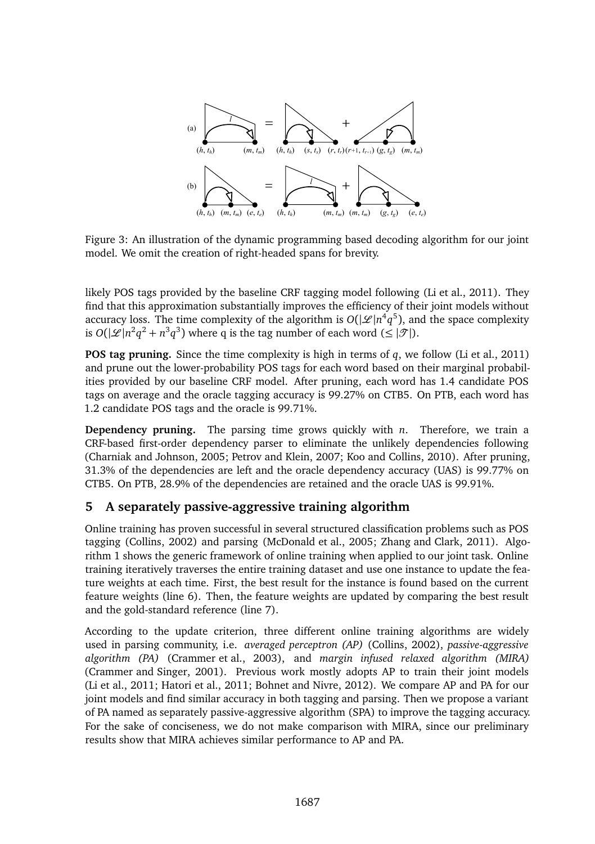

Figure 3: An illustration of the dynamic programming based decoding algorithm for our joint model. We omit the creation of right-headed spans for brevity.

likely POS tags provided by the baseline CRF tagging model following (Li et al., 2011). They find that this approximation substantially improves the efficiency of their joint models without accuracy loss. The time complexity of the algorithm is  $O(|\mathcal{L}|n^4q^5)$ , and the space complexity is  $O(|\mathcal{L}|n^2q^2 + n^3q^3)$  where q is the tag number of each word  $(\leq |\mathcal{T}|)$ .

**POS tag pruning.** Since the time complexity is high in terms of *q*, we follow (Li et al., 2011) and prune out the lower-probability POS tags for each word based on their marginal probabilities provided by our baseline CRF model. After pruning, each word has 1.4 candidate POS tags on average and the oracle tagging accuracy is 99.27% on CTB5. On PTB, each word has 1.2 candidate POS tags and the oracle is 99.71%.

**Dependency pruning.** The parsing time grows quickly with  $n$ . Therefore, we train a CRF-based first-order dependency parser to eliminate the unlikely dependencies following (Charniak and Johnson, 2005; Petrov and Klein, 2007; Koo and Collins, 2010). After pruning, 31.3% of the dependencies are left and the oracle dependency accuracy (UAS) is 99.77% on CTB5. On PTB, 28.9% of the dependencies are retained and the oracle UAS is 99.91%.

# **5 A separately passive-aggressive training algorithm**

Online training has proven successful in several structured classification problems such as POS tagging (Collins, 2002) and parsing (McDonald et al., 2005; Zhang and Clark, 2011). Algorithm 1 shows the generic framework of online training when applied to our joint task. Online training iteratively traverses the entire training dataset and use one instance to update the feature weights at each time. First, the best result for the instance is found based on the current feature weights (line 6). Then, the feature weights are updated by comparing the best result and the gold-standard reference (line 7).

According to the update criterion, three different online training algorithms are widely used in parsing community, i.e. *averaged perceptron (AP)* (Collins, 2002), *passive-aggressive algorithm (PA)* (Crammer et al., 2003), and *margin infused relaxed algorithm (MIRA)* (Crammer and Singer, 2001). Previous work mostly adopts AP to train their joint models (Li et al., 2011; Hatori et al., 2011; Bohnet and Nivre, 2012). We compare AP and PA for our joint models and find similar accuracy in both tagging and parsing. Then we propose a variant of PA named as separately passive-aggressive algorithm (SPA) to improve the tagging accuracy. For the sake of conciseness, we do not make comparison with MIRA, since our preliminary results show that MIRA achieves similar performance to AP and PA.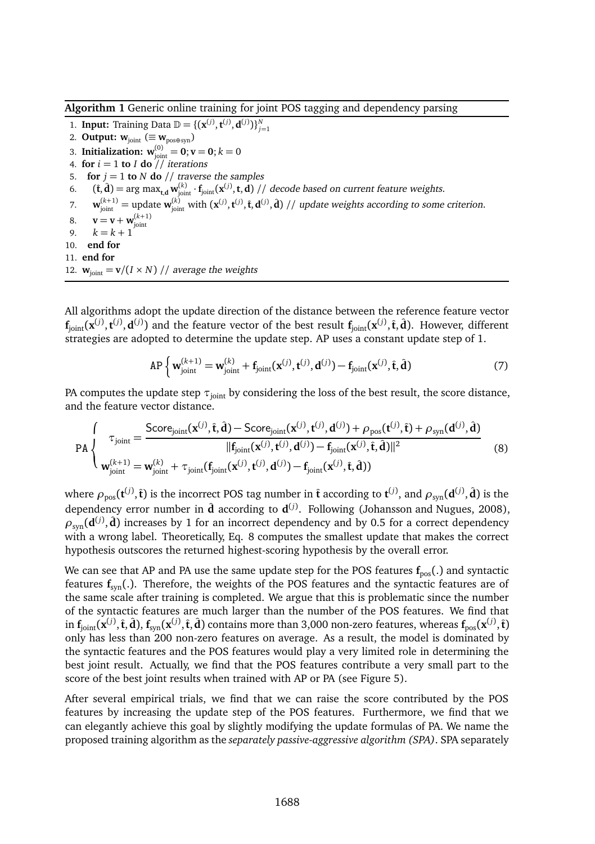**Algorithm 1** Generic online training for joint POS tagging and dependency parsing

1. **Input:** Training Data  $\mathbb{D} = \{ (\mathbf{x}^{(j)}, \mathbf{t}^{(j)}, \mathbf{d}^{(j)}) \}_{j=1}^N$ 

- 2. **Output:**  $w_{\text{joint}} \equiv w_{\text{posserson}}$
- 3. **Initialization:**  $w_{joint}^{(0)} = 0; v = 0; k = 0$
- 4. **for**  $i = 1$  **to**  $I$  **do**  $\overline{\smash{7}}$  *iterations*
- 5. **for**  $j = 1$  **to**  $N$  **do**  $\frac{1}{i}$  traverse the samples
- 6. ( $\hat{\mathbf{t}}, \hat{\mathbf{d}}$ ) = arg max<sub>t,d</sub>  $\mathbf{w}_{joint}^{(k)} \cdot \mathbf{f}_{joint}(\mathbf{x}^{(j)}, \mathbf{t}, \mathbf{d})$  // decode based on current feature weights.
- 7.  $\mathbf{w}_{joint}^{(k+1)} =$  update  $\mathbf{w}_{joint}^{(k)}$  with  $(\mathbf{x}^{(j)}, \mathbf{t}^{(j)}, \hat{\mathbf{t}}, \mathbf{d}^{(j)}, \hat{\mathbf{d}})$  // update weights according to some criterion.
- 8.  $\mathbf{v} = \mathbf{v} + \mathbf{w}_{joint}^{(k+1)}$
- 9.  $k = k + 1$
- 10. **end for**
- 11. **end for**
- 12.  $\mathbf{w}_{\text{joint}} = \mathbf{v}/(I \times N)$  // average the weights

All algorithms adopt the update direction of the distance between the reference feature vector  $f_{joint}(\mathbf{x}^{(j)}, \mathbf{t}^{(j)}, \mathbf{d}^{(j)})$  and the feature vector of the best result  $f_{joint}(\mathbf{x}^{(j)}, \hat{\mathbf{t}}, \hat{\mathbf{d}})$ . However, different strategies are adopted to determine the update step. AP uses a constant update step of 1.

$$
AP\left\{ \mathbf{w}_{joint}^{(k+1)} = \mathbf{w}_{joint}^{(k)} + \mathbf{f}_{joint}(\mathbf{x}^{(j)}, \mathbf{t}^{(j)}, \mathbf{d}^{(j)}) - \mathbf{f}_{joint}(\mathbf{x}^{(j)}, \hat{\mathbf{t}}, \hat{\mathbf{d}}) \right\}
$$
(7)

PA computes the update step  $\tau_{\text{joint}}$  by considering the loss of the best result, the score distance, and the feature vector distance.

$$
PA\left\{\n\begin{array}{l}\n\tau_{joint} = \frac{\text{Score}_{joint}(\mathbf{x}^{(j)}, \hat{\mathbf{t}}, \hat{\mathbf{d}}) - \text{Score}_{joint}(\mathbf{x}^{(j)}, \mathbf{t}^{(j)}, \mathbf{d}^{(j)}) + \rho_{post}(\mathbf{t}^{(j)}, \hat{\mathbf{t}}) + \rho_{syn}(\mathbf{d}^{(j)}, \hat{\mathbf{d}})}{||\mathbf{f}_{joint}(\mathbf{x}^{(j)}, \mathbf{t}^{(j)}, \mathbf{d}^{(j)}) - \mathbf{f}_{joint}(\mathbf{x}^{(j)}, \hat{\mathbf{t}}, \hat{\mathbf{d}})||^2}\n\end{array}\n\right\} \tag{8}
$$

where  $\rho_{pos}(\mathbf{t}^{(j)}, \hat{\mathbf{t}})$  is the incorrect POS tag number in  $\hat{\mathbf{t}}$  according to  $\mathbf{t}^{(j)}$ , and  $\rho_{syn}(\mathbf{d}^{(j)}, \hat{\mathbf{d}})$  is the dependency error number in  $\hat{\mathbf{d}}$  according to  $\mathbf{d}^{(j)}$ . Following (Johansson and Nugues, 2008),  $\rho_{\text{syn}}(\mathbf{d}^{(j)},\hat{\mathbf{d}})$  increases by 1 for an incorrect dependency and by 0.5 for a correct dependency with a wrong label. Theoretically, Eq. 8 computes the smallest update that makes the correct hypothesis outscores the returned highest-scoring hypothesis by the overall error.

We can see that AP and PA use the same update step for the POS features  $f_{\text{pos}}(.)$  and syntactic features  $f_{syn}$ (.). Therefore, the weights of the POS features and the syntactic features are of the same scale after training is completed. We argue that this is problematic since the number of the syntactic features are much larger than the number of the POS features. We find that in  $f_{joint}(x^{(j)}, \hat{t}, \hat{d})$ ,  $f_{syn}(x^{(j)}, \hat{t}, \hat{d})$  contains more than 3,000 non-zero features, whereas  $f_{pos}(x^{(j)}, \hat{t})$ only has less than 200 non-zero features on average. As a result, the model is dominated by the syntactic features and the POS features would play a very limited role in determining the best joint result. Actually, we find that the POS features contribute a very small part to the score of the best joint results when trained with AP or PA (see Figure 5).

After several empirical trials, we find that we can raise the score contributed by the POS features by increasing the update step of the POS features. Furthermore, we find that we can elegantly achieve this goal by slightly modifying the update formulas of PA. We name the proposed training algorithm as the *separately passive-aggressive algorithm (SPA)*. SPA separately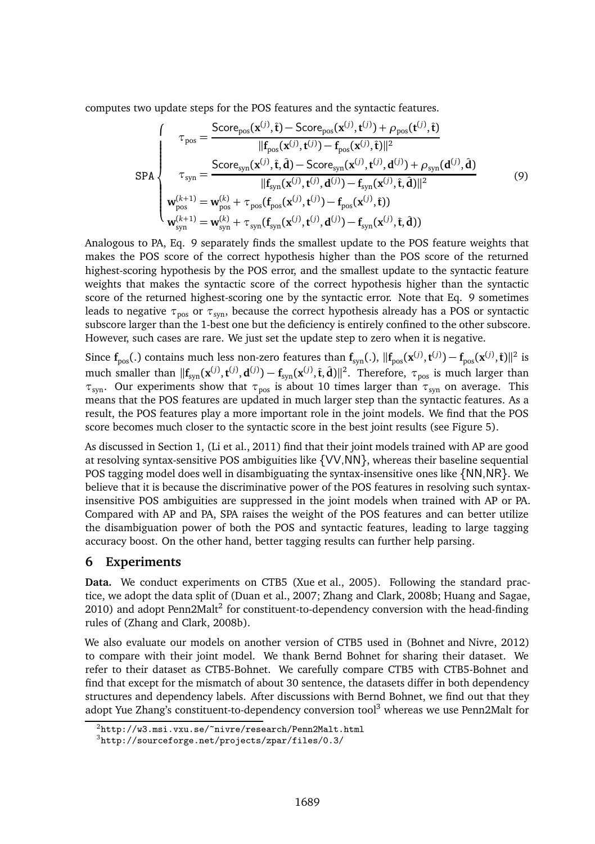computes two update steps for the POS features and the syntactic features.

$$
SPA \begin{cases}\n\tau_{\text{pos}} = \frac{\text{Score}_{\text{pos}}(\mathbf{x}^{(j)}, \hat{\mathbf{t}}) - \text{Score}_{\text{pos}}(\mathbf{x}^{(j)}, \mathbf{t}^{(j)}) + \rho_{\text{pos}}(\mathbf{t}^{(j)}, \hat{\mathbf{t}})}{\| \mathbf{f}_{\text{pos}}(\mathbf{x}^{(j)}, \mathbf{t}^{(j)}) - \mathbf{f}_{\text{pos}}(\mathbf{x}^{(j)}, \hat{\mathbf{t}})\|^{2}} \\
\tau_{\text{syn}} = \frac{\text{Score}_{\text{syn}}(\mathbf{x}^{(j)}, \hat{\mathbf{t}}, \hat{\mathbf{d}}) - \text{Score}_{\text{syn}}(\mathbf{x}^{(j)}, \mathbf{t}^{(j)}, \mathbf{d}^{(j)}) + \rho_{\text{syn}}(\mathbf{d}^{(j)}, \hat{\mathbf{d}})}{\| \mathbf{f}_{\text{syn}}(\mathbf{x}^{(j)}, \mathbf{t}^{(j)}, \mathbf{d}^{(j)}) - \mathbf{f}_{\text{syn}}(\mathbf{x}^{(j)}, \hat{\mathbf{t}}, \hat{\mathbf{d}})\|^{2}} \\
\mathbf{w}_{\text{pos}}^{(k+1)} = \mathbf{w}_{\text{pos}}^{(k)} + \tau_{\text{pos}}(\mathbf{f}_{\text{pos}}(\mathbf{x}^{(j)}, \mathbf{t}^{(j)}) - \mathbf{f}_{\text{pos}}(\mathbf{x}^{(j)}, \hat{\mathbf{t}})\n\end{cases} (9)\n\tag{9}
$$

Analogous to PA, Eq. 9 separately finds the smallest update to the POS feature weights that makes the POS score of the correct hypothesis higher than the POS score of the returned highest-scoring hypothesis by the POS error, and the smallest update to the syntactic feature weights that makes the syntactic score of the correct hypothesis higher than the syntactic score of the returned highest-scoring one by the syntactic error. Note that Eq. 9 sometimes leads to negative  $\tau_{\text{pos}}$  or  $\tau_{\text{syn}}$ , because the correct hypothesis already has a POS or syntactic subscore larger than the 1-best one but the deficiency is entirely confined to the other subscore. However, such cases are rare. We just set the update step to zero when it is negative.

Since  $f_{\text{pos}}(.)$  contains much less non-zero features than  $f_{\text{syn}}(.)$ ,  $||f_{\text{pos}}(\mathbf{x}^{(j)}, \mathbf{t}^{(j)}) - f_{\text{pos}}(\mathbf{x}^{(j)}, \hat{\mathbf{t}})||^2$  is much smaller than  $\|\mathbf{f}_{syn}(\mathbf{x}^{(j)}, \mathbf{t}^{(j)}, \mathbf{d}^{(j)}) - \mathbf{f}_{syn}(\mathbf{x}^{(j)}, \hat{\mathbf{t}}, \hat{\mathbf{d}})\|^2$ . Therefore,  $\tau_{pos}$  is much larger than *τ*<sub>syn</sub>. Our experiments show that  $τ_{\text{nos}}$  is about 10 times larger than  $τ_{\text{syn}}$  on average. This means that the POS features are updated in much larger step than the syntactic features. As a result, the POS features play a more important role in the joint models. We find that the POS score becomes much closer to the syntactic score in the best joint results (see Figure 5).

As discussed in Section 1, (Li et al., 2011) find that their joint models trained with AP are good at resolving syntax-sensitive POS ambiguities like {VV,NN}, whereas their baseline sequential POS tagging model does well in disambiguating the syntax-insensitive ones like {NN,NR}. We believe that it is because the discriminative power of the POS features in resolving such syntaxinsensitive POS ambiguities are suppressed in the joint models when trained with AP or PA. Compared with AP and PA, SPA raises the weight of the POS features and can better utilize the disambiguation power of both the POS and syntactic features, leading to large tagging accuracy boost. On the other hand, better tagging results can further help parsing.

### **6 Experiments**

**Data.** We conduct experiments on CTB5 (Xue et al., 2005). Following the standard practice, we adopt the data split of (Duan et al., 2007; Zhang and Clark, 2008b; Huang and Sagae, 2010) and adopt Penn2Malt<sup>2</sup> for constituent-to-dependency conversion with the head-finding rules of (Zhang and Clark, 2008b).

We also evaluate our models on another version of CTB5 used in (Bohnet and Nivre, 2012) to compare with their joint model. We thank Bernd Bohnet for sharing their dataset. We refer to their dataset as CTB5-Bohnet. We carefully compare CTB5 with CTB5-Bohnet and find that except for the mismatch of about 30 sentence, the datasets differ in both dependency structures and dependency labels. After discussions with Bernd Bohnet, we find out that they adopt Yue Zhang's constituent-to-dependency conversion tool<sup>3</sup> whereas we use Penn2Malt for

<sup>2</sup>http://w3.msi.vxu.se/~nivre/research/Penn2Malt.html

<sup>3</sup>http://sourceforge.net/projects/zpar/files/0.3/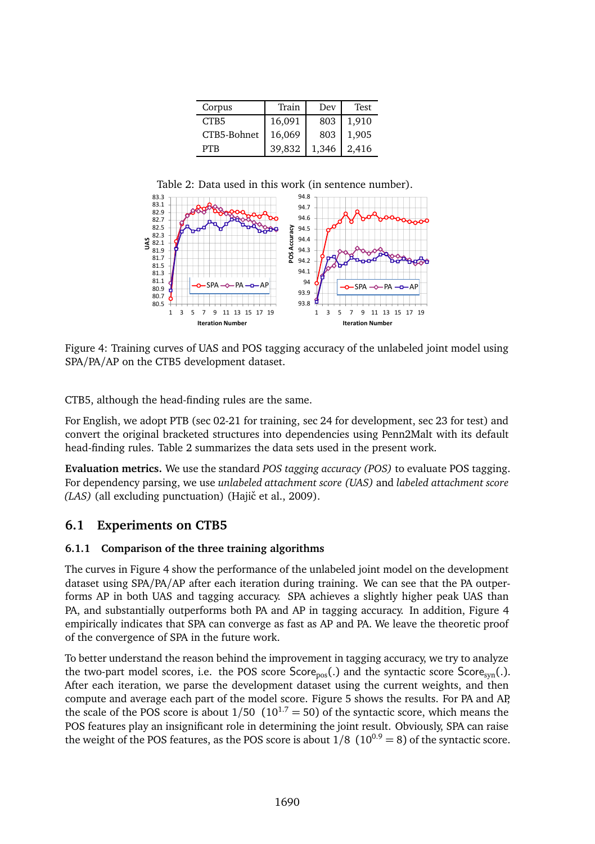| Corpus           | Train  | Dev   | Test  |
|------------------|--------|-------|-------|
| CTB <sub>5</sub> | 16,091 | 803   | 1.910 |
| CTB5-Bohnet      | 16,069 | 803   | 1,905 |
| <b>PTR</b>       | 39.832 | 1,346 | 2.416 |

Table 2: Data used in this work (in sentence number).



Figure 4: Training curves of UAS and POS tagging accuracy of the unlabeled joint model using SPA/PA/AP on the CTB5 development dataset.

CTB5, although the head-finding rules are the same.

For English, we adopt PTB (sec 02-21 for training, sec 24 for development, sec 23 for test) and convert the original bracketed structures into dependencies using Penn2Malt with its default head-finding rules. Table 2 summarizes the data sets used in the present work.

**Evaluation metrics.** We use the standard *POS tagging accuracy (POS)* to evaluate POS tagging. For dependency parsing, we use *unlabeled attachment score (UAS)* and *labeled attachment score (LAS)* (all excluding punctuation) (Hajič et al., 2009).

### **6.1 Experiments on CTB5**

#### **6.1.1 Comparison of the three training algorithms**

The curves in Figure 4 show the performance of the unlabeled joint model on the development dataset using SPA/PA/AP after each iteration during training. We can see that the PA outperforms AP in both UAS and tagging accuracy. SPA achieves a slightly higher peak UAS than PA, and substantially outperforms both PA and AP in tagging accuracy. In addition, Figure 4 empirically indicates that SPA can converge as fast as AP and PA. We leave the theoretic proof of the convergence of SPA in the future work.

To better understand the reason behind the improvement in tagging accuracy, we try to analyze the two-part model scores, i.e. the POS score  $Score<sub>pos</sub>(.)$  and the syntactic score  $Score<sub>son</sub>(.)$ . After each iteration, we parse the development dataset using the current weights, and then compute and average each part of the model score. Figure 5 shows the results. For PA and AP, the scale of the POS score is about  $1/50$   $(10^{1.7} = 50)$  of the syntactic score, which means the POS features play an insignificant role in determining the joint result. Obviously, SPA can raise the weight of the POS features, as the POS score is about  $1/8$  ( $10^{0.9} = 8$ ) of the syntactic score.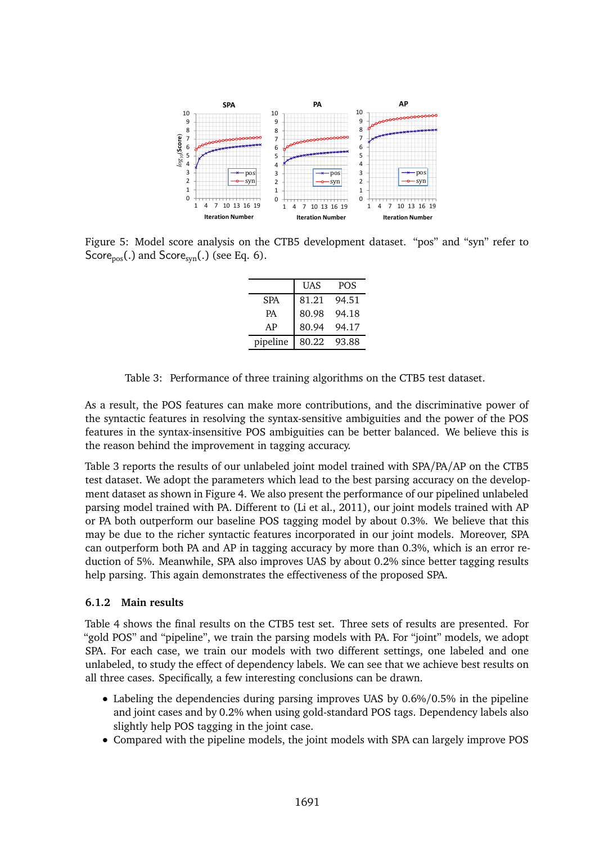

Figure 5: Model score analysis on the CTB5 development dataset. "pos" and "syn" refer to  $Score<sub>pos</sub>(.)$  and  $Score<sub>syn</sub>(.)$  (see Eq. 6).

|            | <b>UAS</b> | <b>POS</b> |
|------------|------------|------------|
| <b>SPA</b> | 81.21      | 94.51      |
| PA         | 80.98      | 94.18      |
| AP         | 80.94      | 94.17      |
| pipeline   | 80.22      | 93.88      |

Table 3: Performance of three training algorithms on the CTB5 test dataset.

As a result, the POS features can make more contributions, and the discriminative power of the syntactic features in resolving the syntax-sensitive ambiguities and the power of the POS features in the syntax-insensitive POS ambiguities can be better balanced. We believe this is the reason behind the improvement in tagging accuracy.

Table 3 reports the results of our unlabeled joint model trained with SPA/PA/AP on the CTB5 test dataset. We adopt the parameters which lead to the best parsing accuracy on the development dataset as shown in Figure 4. We also present the performance of our pipelined unlabeled parsing model trained with PA. Different to (Li et al., 2011), our joint models trained with AP or PA both outperform our baseline POS tagging model by about 0.3%. We believe that this may be due to the richer syntactic features incorporated in our joint models. Moreover, SPA can outperform both PA and AP in tagging accuracy by more than 0.3%, which is an error reduction of 5%. Meanwhile, SPA also improves UAS by about 0.2% since better tagging results help parsing. This again demonstrates the effectiveness of the proposed SPA.

#### **6.1.2 Main results**

Table 4 shows the final results on the CTB5 test set. Three sets of results are presented. For "gold POS" and "pipeline", we train the parsing models with PA. For "joint" models, we adopt SPA. For each case, we train our models with two different settings, one labeled and one unlabeled, to study the effect of dependency labels. We can see that we achieve best results on all three cases. Specifically, a few interesting conclusions can be drawn.

- Labeling the dependencies during parsing improves UAS by 0.6%/0.5% in the pipeline and joint cases and by 0.2% when using gold-standard POS tags. Dependency labels also slightly help POS tagging in the joint case.
- Compared with the pipeline models, the joint models with SPA can largely improve POS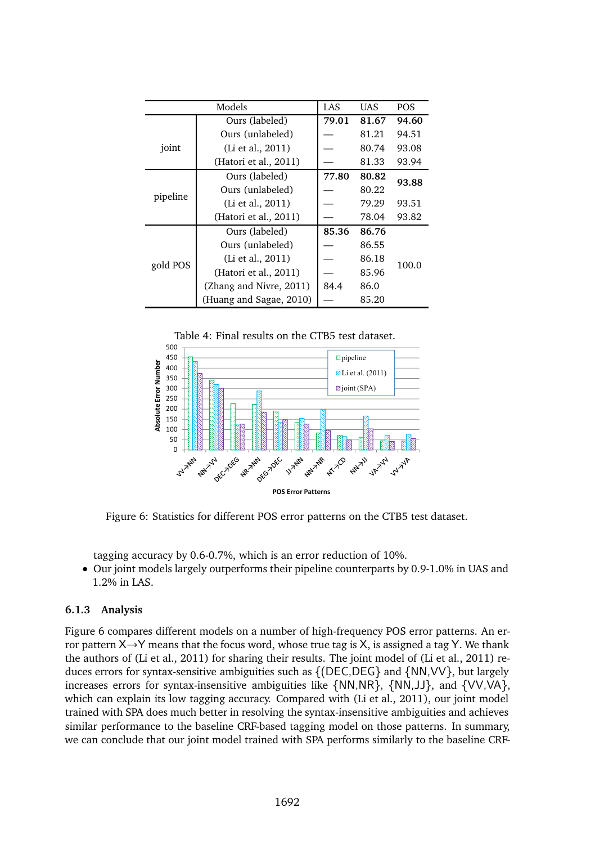| Models   |                         | <b>LAS</b> | UAS   | POS.  |  |
|----------|-------------------------|------------|-------|-------|--|
|          | Ours (labeled)          | 79.01      | 81.67 | 94.60 |  |
| joint    | Ours (unlabeled)        |            | 81.21 | 94.51 |  |
|          | (Li et al., 2011)       |            | 80.74 | 93.08 |  |
|          | (Hatori et al., 2011)   |            | 81.33 | 93.94 |  |
| pipeline | Ours (labeled)          | 77.80      | 80.82 | 93.88 |  |
|          | Ours (unlabeled)        |            | 80.22 |       |  |
|          | (Li et al., 2011)       |            | 79.29 | 93.51 |  |
|          | (Hatori et al., 2011)   |            | 78.04 | 93.82 |  |
| gold POS | Ours (labeled)          | 85.36      | 86.76 |       |  |
|          | Ours (unlabeled)        |            | 86.55 |       |  |
|          | (Li et al., 2011)       |            | 86.18 | 100.0 |  |
|          | (Hatori et al., 2011)   |            | 85.96 |       |  |
|          | (Zhang and Nivre, 2011) | 84.4       | 86.0  |       |  |
|          | (Huang and Sagae, 2010) |            | 85.20 |       |  |



Figure 6: Statistics for different POS error patterns on the CTB5 test dataset.

tagging accuracy by 0.6-0.7%, which is an error reduction of 10%.

• Our joint models largely outperforms their pipeline counterparts by 0.9-1.0% in UAS and 1.2% in LAS.

#### **6.1.3 Analysis**

Figure 6 compares different models on a number of high-frequency POS error patterns. An error pattern  $X \rightarrow Y$  means that the focus word, whose true tag is X, is assigned a tag Y. We thank the authors of (Li et al., 2011) for sharing their results. The joint model of (Li et al., 2011) reduces errors for syntax-sensitive ambiguities such as {(DEC,DEG} and {NN,VV}, but largely increases errors for syntax-insensitive ambiguities like {NN,NR}, {NN,JJ}, and {VV,VA}, which can explain its low tagging accuracy. Compared with (Li et al., 2011), our joint model trained with SPA does much better in resolving the syntax-insensitive ambiguities and achieves similar performance to the baseline CRF-based tagging model on those patterns. In summary, we can conclude that our joint model trained with SPA performs similarly to the baseline CRF-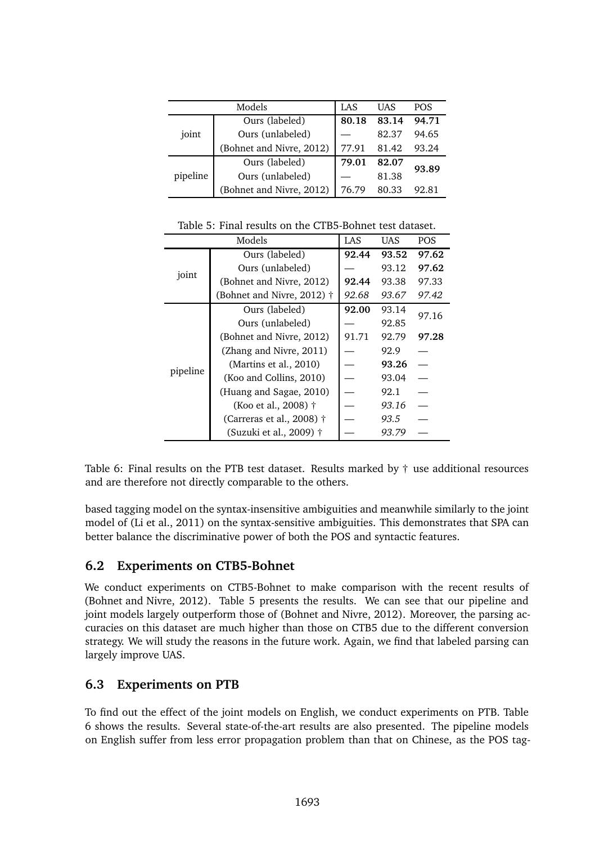| Models   |                          | <b>LAS</b> | <b>IJAS</b> | <b>POS</b> |  |
|----------|--------------------------|------------|-------------|------------|--|
| joint    | Ours (labeled)           | 80.18      | 83.14       | 94.71      |  |
|          | Ours (unlabeled)         |            | 82.37       | 94.65      |  |
|          | (Bohnet and Nivre, 2012) | 77.91      | 81.42       | 93.24      |  |
| pipeline | Ours (labeled)           | 79.01      | 82.07       | 93.89      |  |
|          | Ours (unlabeled)         |            | 81.38       |            |  |
|          | (Bohnet and Nivre, 2012) | 76.79      | 80.33       | 92.81      |  |

Table 5: Final results on the CTB5-Bohnet test dataset.

|          | Models                     | LAS   | <b>UAS</b> | POS.  |  |
|----------|----------------------------|-------|------------|-------|--|
| joint    | Ours (labeled)             | 92.44 | 93.52      | 97.62 |  |
|          | Ours (unlabeled)           |       | 93.12      | 97.62 |  |
|          | (Bohnet and Nivre, 2012)   | 92.44 | 93.38      | 97.33 |  |
|          | (Bohnet and Nivre, 2012) † | 92.68 | 93.67      | 97.42 |  |
| pipeline | Ours (labeled)             | 92.00 | 93.14      | 97.16 |  |
|          | Ours (unlabeled)           |       | 92.85      |       |  |
|          | (Bohnet and Nivre, 2012)   | 91.71 | 92.79      | 97.28 |  |
|          | (Zhang and Nivre, 2011)    |       | 92.9       |       |  |
|          | (Martins et al., 2010)     |       | 93.26      |       |  |
|          | (Koo and Collins, 2010)    |       | 93.04      | ÷.    |  |
|          | (Huang and Sagae, 2010)    |       | 92.1       |       |  |
|          | (Koo et al., 2008) †       |       | 93.16      | L.    |  |
|          | (Carreras et al., 2008) †  |       | 93.5       |       |  |
|          | (Suzuki et al., 2009) †    |       | 93.79      |       |  |

Table 6: Final results on the PTB test dataset. Results marked by † use additional resources and are therefore not directly comparable to the others.

based tagging model on the syntax-insensitive ambiguities and meanwhile similarly to the joint model of (Li et al., 2011) on the syntax-sensitive ambiguities. This demonstrates that SPA can better balance the discriminative power of both the POS and syntactic features.

# **6.2 Experiments on CTB5-Bohnet**

We conduct experiments on CTB5-Bohnet to make comparison with the recent results of (Bohnet and Nivre, 2012). Table 5 presents the results. We can see that our pipeline and joint models largely outperform those of (Bohnet and Nivre, 2012). Moreover, the parsing accuracies on this dataset are much higher than those on CTB5 due to the different conversion strategy. We will study the reasons in the future work. Again, we find that labeled parsing can largely improve UAS.

# **6.3 Experiments on PTB**

To find out the effect of the joint models on English, we conduct experiments on PTB. Table 6 shows the results. Several state-of-the-art results are also presented. The pipeline models on English suffer from less error propagation problem than that on Chinese, as the POS tag-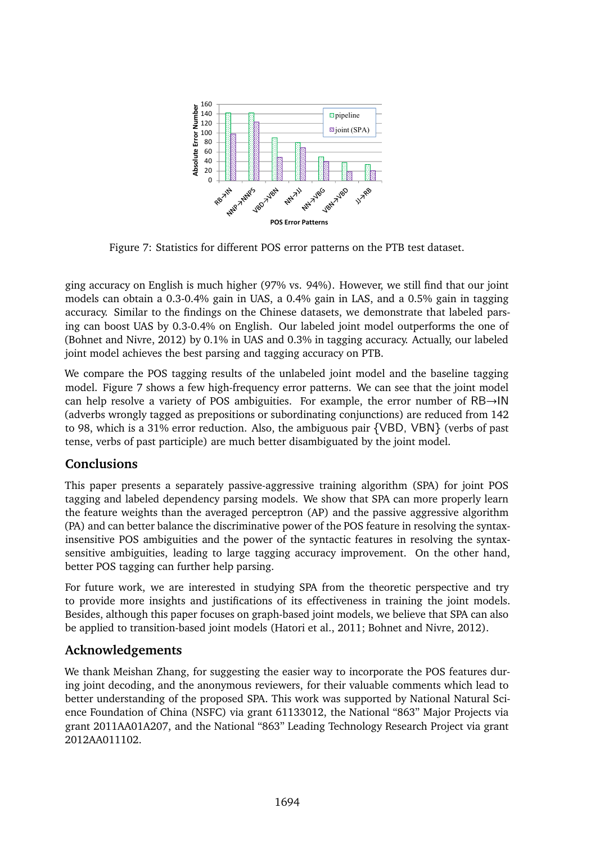

Figure 7: Statistics for different POS error patterns on the PTB test dataset.

ging accuracy on English is much higher (97% vs. 94%). However, we still find that our joint models can obtain a 0.3-0.4% gain in UAS, a 0.4% gain in LAS, and a 0.5% gain in tagging accuracy. Similar to the findings on the Chinese datasets, we demonstrate that labeled parsing can boost UAS by 0.3-0.4% on English. Our labeled joint model outperforms the one of (Bohnet and Nivre, 2012) by 0.1% in UAS and 0.3% in tagging accuracy. Actually, our labeled joint model achieves the best parsing and tagging accuracy on PTB.

We compare the POS tagging results of the unlabeled joint model and the baseline tagging model. Figure 7 shows a few high-frequency error patterns. We can see that the joint model can help resolve a variety of POS ambiguities. For example, the error number of RB→IN (adverbs wrongly tagged as prepositions or subordinating conjunctions) are reduced from 142 to 98, which is a 31% error reduction. Also, the ambiguous pair {VBD, VBN} (verbs of past tense, verbs of past participle) are much better disambiguated by the joint model.

# **Conclusions**

This paper presents a separately passive-aggressive training algorithm (SPA) for joint POS tagging and labeled dependency parsing models. We show that SPA can more properly learn the feature weights than the averaged perceptron (AP) and the passive aggressive algorithm (PA) and can better balance the discriminative power of the POS feature in resolving the syntaxinsensitive POS ambiguities and the power of the syntactic features in resolving the syntaxsensitive ambiguities, leading to large tagging accuracy improvement. On the other hand, better POS tagging can further help parsing.

For future work, we are interested in studying SPA from the theoretic perspective and try to provide more insights and justifications of its effectiveness in training the joint models. Besides, although this paper focuses on graph-based joint models, we believe that SPA can also be applied to transition-based joint models (Hatori et al., 2011; Bohnet and Nivre, 2012).

# **Acknowledgements**

We thank Meishan Zhang, for suggesting the easier way to incorporate the POS features during joint decoding, and the anonymous reviewers, for their valuable comments which lead to better understanding of the proposed SPA. This work was supported by National Natural Science Foundation of China (NSFC) via grant 61133012, the National "863" Major Projects via grant 2011AA01A207, and the National "863" Leading Technology Research Project via grant 2012AA011102.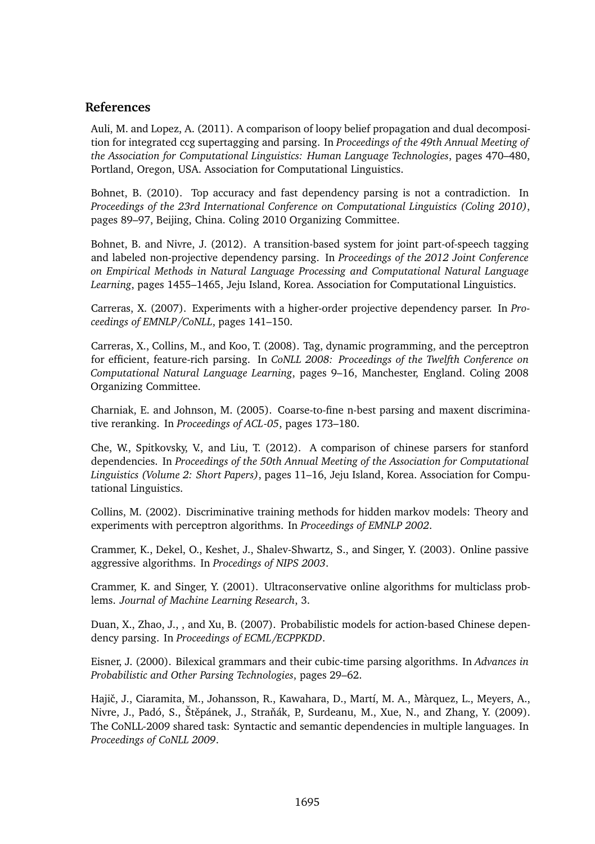### **References**

Auli, M. and Lopez, A. (2011). A comparison of loopy belief propagation and dual decomposition for integrated ccg supertagging and parsing. In *Proceedings of the 49th Annual Meeting of the Association for Computational Linguistics: Human Language Technologies*, pages 470–480, Portland, Oregon, USA. Association for Computational Linguistics.

Bohnet, B. (2010). Top accuracy and fast dependency parsing is not a contradiction. In *Proceedings of the 23rd International Conference on Computational Linguistics (Coling 2010)*, pages 89–97, Beijing, China. Coling 2010 Organizing Committee.

Bohnet, B. and Nivre, J. (2012). A transition-based system for joint part-of-speech tagging and labeled non-projective dependency parsing. In *Proceedings of the 2012 Joint Conference on Empirical Methods in Natural Language Processing and Computational Natural Language Learning*, pages 1455–1465, Jeju Island, Korea. Association for Computational Linguistics.

Carreras, X. (2007). Experiments with a higher-order projective dependency parser. In *Proceedings of EMNLP/CoNLL*, pages 141–150.

Carreras, X., Collins, M., and Koo, T. (2008). Tag, dynamic programming, and the perceptron for efficient, feature-rich parsing. In *CoNLL 2008: Proceedings of the Twelfth Conference on Computational Natural Language Learning*, pages 9–16, Manchester, England. Coling 2008 Organizing Committee.

Charniak, E. and Johnson, M. (2005). Coarse-to-fine n-best parsing and maxent discriminative reranking. In *Proceedings of ACL-05*, pages 173–180.

Che, W., Spitkovsky, V., and Liu, T. (2012). A comparison of chinese parsers for stanford dependencies. In *Proceedings of the 50th Annual Meeting of the Association for Computational Linguistics (Volume 2: Short Papers)*, pages 11–16, Jeju Island, Korea. Association for Computational Linguistics.

Collins, M. (2002). Discriminative training methods for hidden markov models: Theory and experiments with perceptron algorithms. In *Proceedings of EMNLP 2002*.

Crammer, K., Dekel, O., Keshet, J., Shalev-Shwartz, S., and Singer, Y. (2003). Online passive aggressive algorithms. In *Procedings of NIPS 2003*.

Crammer, K. and Singer, Y. (2001). Ultraconservative online algorithms for multiclass problems. *Journal of Machine Learning Research*, 3.

Duan, X., Zhao, J., , and Xu, B. (2007). Probabilistic models for action-based Chinese dependency parsing. In *Proceedings of ECML/ECPPKDD*.

Eisner, J. (2000). Bilexical grammars and their cubic-time parsing algorithms. In *Advances in Probabilistic and Other Parsing Technologies*, pages 29–62.

Hajič, J., Ciaramita, M., Johansson, R., Kawahara, D., Martí, M. A., Màrquez, L., Meyers, A., Nivre, J., Padó, S., Štěpánek, J., Straňák, P., Surdeanu, M., Xue, N., and Zhang, Y. (2009). The CoNLL-2009 shared task: Syntactic and semantic dependencies in multiple languages. In *Proceedings of CoNLL 2009*.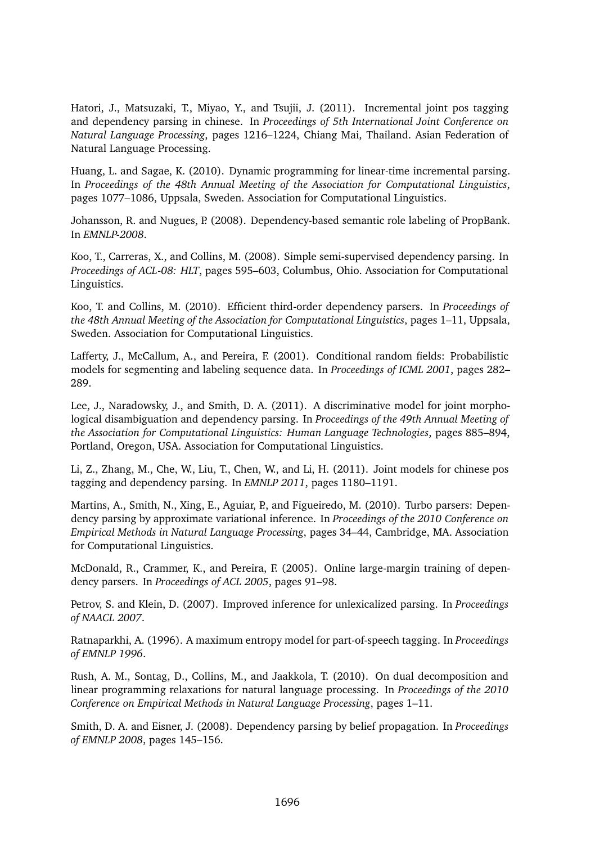Hatori, J., Matsuzaki, T., Miyao, Y., and Tsujii, J. (2011). Incremental joint pos tagging and dependency parsing in chinese. In *Proceedings of 5th International Joint Conference on Natural Language Processing*, pages 1216–1224, Chiang Mai, Thailand. Asian Federation of Natural Language Processing.

Huang, L. and Sagae, K. (2010). Dynamic programming for linear-time incremental parsing. In *Proceedings of the 48th Annual Meeting of the Association for Computational Linguistics*, pages 1077–1086, Uppsala, Sweden. Association for Computational Linguistics.

Johansson, R. and Nugues, P. (2008). Dependency-based semantic role labeling of PropBank. In *EMNLP-2008*.

Koo, T., Carreras, X., and Collins, M. (2008). Simple semi-supervised dependency parsing. In *Proceedings of ACL-08: HLT*, pages 595–603, Columbus, Ohio. Association for Computational Linguistics.

Koo, T. and Collins, M. (2010). Efficient third-order dependency parsers. In *Proceedings of the 48th Annual Meeting of the Association for Computational Linguistics*, pages 1–11, Uppsala, Sweden. Association for Computational Linguistics.

Lafferty, J., McCallum, A., and Pereira, F. (2001). Conditional random fields: Probabilistic models for segmenting and labeling sequence data. In *Proceedings of ICML 2001*, pages 282– 289.

Lee, J., Naradowsky, J., and Smith, D. A. (2011). A discriminative model for joint morphological disambiguation and dependency parsing. In *Proceedings of the 49th Annual Meeting of the Association for Computational Linguistics: Human Language Technologies*, pages 885–894, Portland, Oregon, USA. Association for Computational Linguistics.

Li, Z., Zhang, M., Che, W., Liu, T., Chen, W., and Li, H. (2011). Joint models for chinese pos tagging and dependency parsing. In *EMNLP 2011*, pages 1180–1191.

Martins, A., Smith, N., Xing, E., Aguiar, P., and Figueiredo, M. (2010). Turbo parsers: Dependency parsing by approximate variational inference. In *Proceedings of the 2010 Conference on Empirical Methods in Natural Language Processing*, pages 34–44, Cambridge, MA. Association for Computational Linguistics.

McDonald, R., Crammer, K., and Pereira, F. (2005). Online large-margin training of dependency parsers. In *Proceedings of ACL 2005*, pages 91–98.

Petrov, S. and Klein, D. (2007). Improved inference for unlexicalized parsing. In *Proceedings of NAACL 2007*.

Ratnaparkhi, A. (1996). A maximum entropy model for part-of-speech tagging. In *Proceedings of EMNLP 1996*.

Rush, A. M., Sontag, D., Collins, M., and Jaakkola, T. (2010). On dual decomposition and linear programming relaxations for natural language processing. In *Proceedings of the 2010 Conference on Empirical Methods in Natural Language Processing*, pages 1–11.

Smith, D. A. and Eisner, J. (2008). Dependency parsing by belief propagation. In *Proceedings of EMNLP 2008*, pages 145–156.